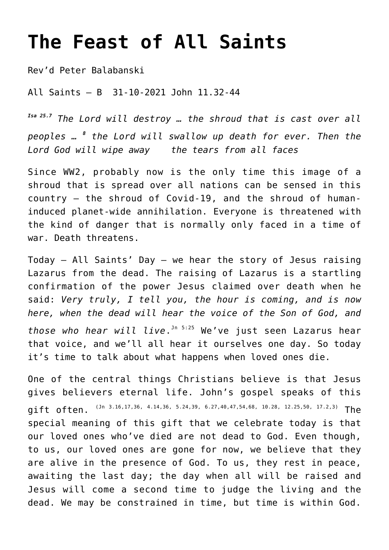## **[The Feast of All Saints](http://stjohnsadelaide.org.au/all-saints-day/)**

Rev'd Peter Balabanski

All Saints – B 31-10-2021 John 11.32-44

*Isa 25.7 The Lord will destroy … the shroud that is cast over all peoples … <sup>8</sup> the Lord will swallow up death for ever. Then the Lord God will wipe away the tears from all faces*

Since WW2, probably now is the only time this image of a shroud that is spread over all nations can be sensed in this country – the shroud of Covid-19, and the shroud of humaninduced planet-wide annihilation. Everyone is threatened with the kind of danger that is normally only faced in a time of war. Death threatens.

Today – All Saints' Day – we hear the story of Jesus raising Lazarus from the dead. The raising of Lazarus is a startling confirmation of the power Jesus claimed over death when he said: *Very truly, I tell you, the hour is coming, and is now here, when the dead will hear the voice of the Son of God, and those who hear will live*. Jn 5:25 We've just seen Lazarus hear that voice, and we'll all hear it ourselves one day. So today

it's time to talk about what happens when loved ones die.

One of the central things Christians believe is that Jesus gives believers eternal life. John's gospel speaks of this qift often.  $(3n - 3.16, 17, 36, 4.14, 36, 5.24, 39, 6.27, 40, 47, 54, 68, 10.28, 12.25, 50, 17.2, 3)$  The special meaning of this gift that we celebrate today is that our loved ones who've died are not dead to God. Even though, to us, our loved ones are gone for now, we believe that they are alive in the presence of God. To us, they rest in peace, awaiting the last day; the day when all will be raised and Jesus will come a second time to judge the living and the dead. We may be constrained in time, but time is within God.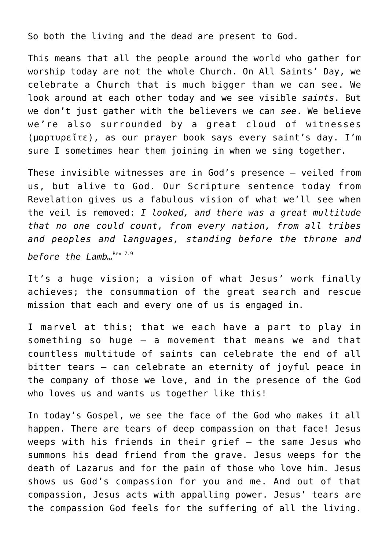So both the living and the dead are present to God.

This means that all the people around the world who gather for worship today are not the whole Church. On All Saints' Day, we celebrate a Church that is much bigger than we can see. We look around at each other today and we see visible *saints*. But we don't just gather with the believers we can *see*. We believe we're also surrounded by a great cloud of witnesses (μαρτυρεῖτε), as our prayer book says every saint's day. I'm sure I sometimes hear them joining in when we sing together.

These invisible witnesses are in God's presence – veiled from us, but alive to God. Our Scripture sentence today from Revelation gives us a fabulous vision of what we'll see when the veil is removed: *I looked, and there was a great multitude that no one could count, from every nation, from all tribes and peoples and languages, standing before the throne and before the Lamb*<sub>*n*Rev 7.9</sub>

It's a huge vision; a vision of what Jesus' work finally achieves; the consummation of the great search and rescue mission that each and every one of us is engaged in.

I marvel at this; that we each have a part to play in something so huge – a movement that means we and that countless multitude of saints can celebrate the end of all bitter tears – can celebrate an eternity of joyful peace in the company of those we love, and in the presence of the God who loves us and wants us together like this!

In today's Gospel, we see the face of the God who makes it all happen. There are tears of deep compassion on that face! Jesus weeps with his friends in their grief – the same Jesus who summons his dead friend from the grave. Jesus weeps for the death of Lazarus and for the pain of those who love him. Jesus shows us God's compassion for you and me. And out of that compassion, Jesus acts with appalling power. Jesus' tears are the compassion God feels for the suffering of all the living.